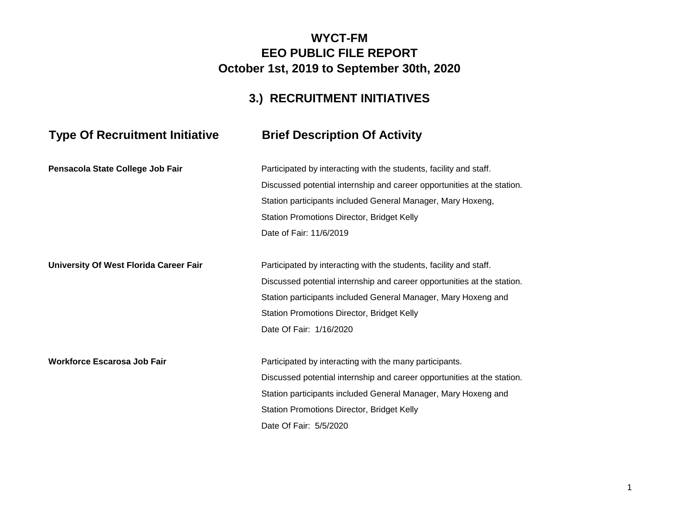### **WYCT-FM EEO PUBLIC FILE REPORT October 1st, 2019 to September 30th, 2020**

## **3.) RECRUITMENT INITIATIVES**

# **Type Of Recruitment Initiative Brief Description Of Activity**

| Pensacola State College Job Fair       | Participated by interacting with the students, facility and staff.      |
|----------------------------------------|-------------------------------------------------------------------------|
|                                        | Discussed potential internship and career opportunities at the station. |
|                                        | Station participants included General Manager, Mary Hoxeng,             |
|                                        | Station Promotions Director, Bridget Kelly                              |
|                                        | Date of Fair: 11/6/2019                                                 |
| University Of West Florida Career Fair | Participated by interacting with the students, facility and staff.      |
|                                        | Discussed potential internship and career opportunities at the station. |
|                                        | Station participants included General Manager, Mary Hoxeng and          |
|                                        | Station Promotions Director, Bridget Kelly                              |
|                                        | Date Of Fair: 1/16/2020                                                 |
| <b>Workforce Escarosa Job Fair</b>     | Participated by interacting with the many participants.                 |
|                                        | Discussed potential internship and career opportunities at the station. |
|                                        | Station participants included General Manager, Mary Hoxeng and          |
|                                        | Station Promotions Director, Bridget Kelly                              |
|                                        | Date Of Fair: 5/5/2020                                                  |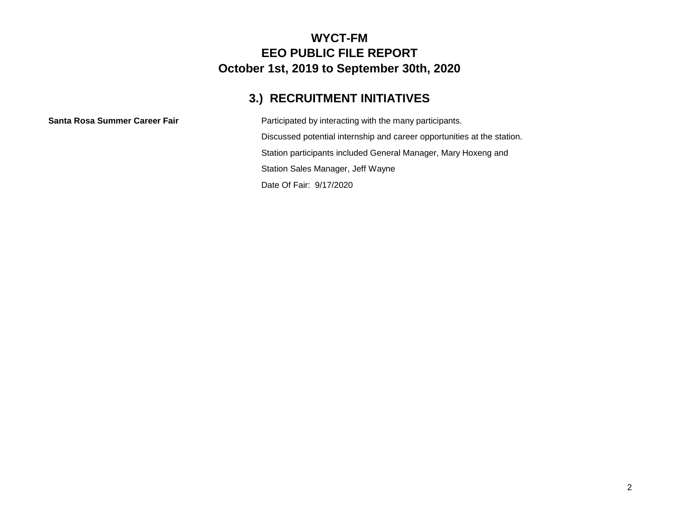#### **WYCT-FM EEO PUBLIC FILE REPORT October 1st, 2019 to September 30th, 2020**

## **3.) RECRUITMENT INITIATIVES**

**Santa Rosa Summer Career Fair** Participated by interacting with the many participants. Discussed potential internship and career opportunities at the station. Station participants included General Manager, Mary Hoxeng and Station Sales Manager, Jeff Wayne Date Of Fair: 9/17/2020